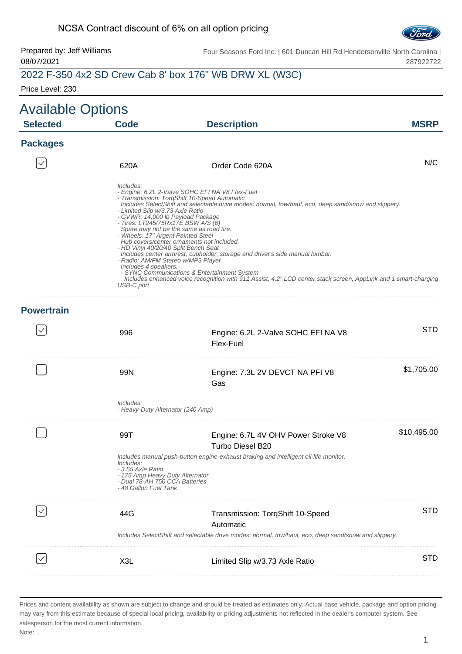#### NCSA Contract discount of 6% on all option pricing



#### Prepared by: Jeff Williams 08/07/2021 Four Seasons Ford Inc. | 601 Duncan Hill Rd Hendersonville North Carolina | 287922722

# 2022 F-350 4x2 SD Crew Cab 8' box 176" WB DRW XL (W3C)

Price Level: 230

| <b>Available Options</b> |                                                                                                                                                                                                                                                                                     |                                                                                                                                                                                                                                                                                                                                                                                                                                                                                                                                                    |             |
|--------------------------|-------------------------------------------------------------------------------------------------------------------------------------------------------------------------------------------------------------------------------------------------------------------------------------|----------------------------------------------------------------------------------------------------------------------------------------------------------------------------------------------------------------------------------------------------------------------------------------------------------------------------------------------------------------------------------------------------------------------------------------------------------------------------------------------------------------------------------------------------|-------------|
| <b>Selected</b>          | <b>Code</b>                                                                                                                                                                                                                                                                         | <b>Description</b>                                                                                                                                                                                                                                                                                                                                                                                                                                                                                                                                 | <b>MSRP</b> |
| <b>Packages</b>          |                                                                                                                                                                                                                                                                                     |                                                                                                                                                                                                                                                                                                                                                                                                                                                                                                                                                    |             |
|                          | 620A                                                                                                                                                                                                                                                                                | Order Code 620A                                                                                                                                                                                                                                                                                                                                                                                                                                                                                                                                    | N/C         |
|                          | Includes:<br>- Limited Slip w/3.73 Axle Ratio<br>- GVWR: 14,000 lb Payload Package<br>- Tires: LT245/75Rx17E BSW A/S (6)<br>- Wheels: 17" Argent Painted Steel<br>- HD Vinyl 40/20/40 Split Bench Seat<br>- Radio: AM/FM Stereo w/MP3 Player<br>Includes 4 speakers.<br>USB-C port. | - Engine: 6.2L 2-Valve SOHC EFI NA V8 Flex-Fuel<br>- Transmission: TorqShift 10-Speed Automatic<br>Includes SelectShift and selectable drive modes: normal, tow/haul, eco, deep sand/snow and slippery.<br>Spare may not be the same as road tire.<br>Hub covers/center ornaments not included.<br>Includes center armrest, cupholder, storage and driver's side manual lumbar.<br>- SYNC Communications & Entertainment System<br>Includes enhanced voice recognition with 911 Assist, 4.2" LCD center stack screen, AppLink and 1 smart-charging |             |
| <b>Powertrain</b>        |                                                                                                                                                                                                                                                                                     |                                                                                                                                                                                                                                                                                                                                                                                                                                                                                                                                                    |             |
|                          | 996                                                                                                                                                                                                                                                                                 | Engine: 6.2L 2-Valve SOHC EFI NA V8<br>Flex-Fuel                                                                                                                                                                                                                                                                                                                                                                                                                                                                                                   | <b>STD</b>  |
|                          | 99N                                                                                                                                                                                                                                                                                 | Engine: 7.3L 2V DEVCT NA PFI V8<br>Gas                                                                                                                                                                                                                                                                                                                                                                                                                                                                                                             | \$1,705.00  |
|                          | Includes:<br>- Heavy-Duty Alternator (240 Amp)                                                                                                                                                                                                                                      |                                                                                                                                                                                                                                                                                                                                                                                                                                                                                                                                                    |             |
|                          | 99T                                                                                                                                                                                                                                                                                 | Engine: 6.7L 4V OHV Power Stroke V8<br>Turbo Diesel B20                                                                                                                                                                                                                                                                                                                                                                                                                                                                                            | \$10,495.00 |
|                          | Includes:<br>- 3.55 Axle Ratio<br>- 175 Amp Heavy Duty Alternator<br>- Dual 78-AH 750 CCA Batteries<br>- 48 Gallon Fuel Tank                                                                                                                                                        | Includes manual push-button engine-exhaust braking and intelligent oil-life monitor.                                                                                                                                                                                                                                                                                                                                                                                                                                                               |             |
|                          | 44G                                                                                                                                                                                                                                                                                 | Transmission: TorqShift 10-Speed<br>Automatic                                                                                                                                                                                                                                                                                                                                                                                                                                                                                                      | <b>STD</b>  |
|                          |                                                                                                                                                                                                                                                                                     | Includes SelectShift and selectable drive modes: normal, tow/haul, eco, deep sand/snow and slippery.                                                                                                                                                                                                                                                                                                                                                                                                                                               |             |
|                          | X3L                                                                                                                                                                                                                                                                                 | Limited Slip w/3.73 Axle Ratio                                                                                                                                                                                                                                                                                                                                                                                                                                                                                                                     | <b>STD</b>  |
|                          |                                                                                                                                                                                                                                                                                     |                                                                                                                                                                                                                                                                                                                                                                                                                                                                                                                                                    |             |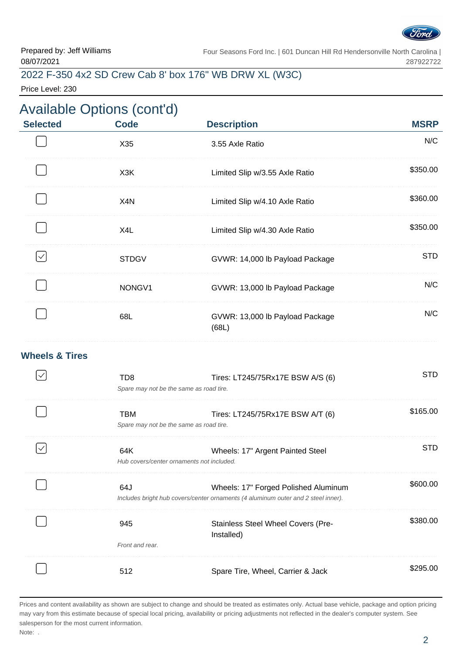

# 2022 F-350 4x2 SD Crew Cab 8' box 176" WB DRW XL (W3C)

Price Level: 230

### Available Options (cont'd) **Selected Code Description MSRP** X35 3.55 Axle Ratio N/C X3K Limited Slip w/3.55 Axle Ratio \$350.00 X4N Limited Slip w/4.10 Axle Ratio \$360.00 X4L Limited Slip w/4.30 Axle Ratio \$350.00 . . . . . . . . . . . . . . .  $\checkmark$ STDGV GVWR: 14,000 lb Payload Package STD NONGV1 GVWR: 13,000 lb Payload Package N/C . . . . . . . . . N/C 68L GVWR: 13,000 lb Payload Package (68L) **Wheels & Tires**  $\checkmark$ TD8 Tires: LT245/75Rx17E BSW A/S (6) STD Spare may not be the same as road tire. TBM Tires: LT245/75Rx17E BSW A/T (6) \$165.00 Spare may not be the same as road tire. 64K Wheels: 17" Argent Painted Steel STD  $\checkmark$ Hub covers/center ornaments not included. 64J Wheels: 17" Forged Polished Aluminum \$600.00 Includes bright hub covers/center ornaments (4 aluminum outer and 2 steel inner). \$380.00 945 Stainless Steel Wheel Covers (Pre-Installed) Front and rear. 512 Spare Tire, Wheel, Carrier & Jack \$295.00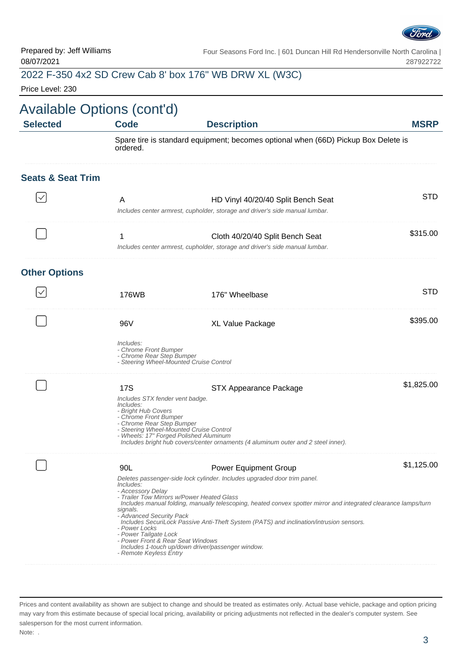

# 2022 F-350 4x2 SD Crew Cab 8' box 176" WB DRW XL (W3C)

Price Level: 230

| Available Options (cont'd)<br><b>Selected</b> | <b>Code</b>                                                                                                                                                                                                                                                                               | <b>Description</b>                                                                                                                                                                                                                                                                                                     | <b>MSRP</b> |
|-----------------------------------------------|-------------------------------------------------------------------------------------------------------------------------------------------------------------------------------------------------------------------------------------------------------------------------------------------|------------------------------------------------------------------------------------------------------------------------------------------------------------------------------------------------------------------------------------------------------------------------------------------------------------------------|-------------|
|                                               | ordered.                                                                                                                                                                                                                                                                                  | Spare tire is standard equipment; becomes optional when (66D) Pickup Box Delete is                                                                                                                                                                                                                                     |             |
| <b>Seats &amp; Seat Trim</b>                  |                                                                                                                                                                                                                                                                                           |                                                                                                                                                                                                                                                                                                                        |             |
|                                               | A                                                                                                                                                                                                                                                                                         | HD Vinyl 40/20/40 Split Bench Seat<br>Includes center armrest, cupholder, storage and driver's side manual lumbar.                                                                                                                                                                                                     | <b>STD</b>  |
|                                               | 1                                                                                                                                                                                                                                                                                         | Cloth 40/20/40 Split Bench Seat<br>Includes center armrest, cupholder, storage and driver's side manual lumbar.                                                                                                                                                                                                        | \$315.00    |
| <b>Other Options</b>                          |                                                                                                                                                                                                                                                                                           |                                                                                                                                                                                                                                                                                                                        |             |
|                                               | 176WB                                                                                                                                                                                                                                                                                     | 176" Wheelbase                                                                                                                                                                                                                                                                                                         | <b>STD</b>  |
|                                               | 96V                                                                                                                                                                                                                                                                                       | XL Value Package                                                                                                                                                                                                                                                                                                       | \$395.00    |
|                                               | Includes:<br>- Chrome Front Bumper<br>- Chrome Rear Step Bumper<br>- Steering Wheel-Mounted Cruise Control                                                                                                                                                                                |                                                                                                                                                                                                                                                                                                                        |             |
|                                               | <b>17S</b><br>Includes STX fender vent badge.<br>Includes:<br>- Bright Hub Covers<br>- Chrome Front Bumper<br>- Chrome Rear Step Bumper<br>- Steering Wheel-Mounted Cruise Control<br>- Wheels: 17" Forged Polished Aluminum                                                              | <b>STX Appearance Package</b><br>Includes bright hub covers/center ornaments (4 aluminum outer and 2 steel inner).                                                                                                                                                                                                     | \$1,825.00  |
|                                               | 90L<br>Includes:<br>- Accessory Delay<br>- Trailer Tow Mirrors w/Power Heated Glass<br>signals.<br>- Advanced Security Pack<br>- Power Locks<br>- Power Tailgate Lock<br>- Power Front & Rear Seat Windows<br>Includes 1-touch up/down driver/passenger window.<br>- Remote Keyless Entry | <b>Power Equipment Group</b><br>Deletes passenger-side lock cylinder. Includes upgraded door trim panel.<br>Includes manual folding, manually telescoping, heated convex spotter mirror and integrated clearance lamps/turn<br>Includes SecuriLock Passive Anti-Theft System (PATS) and inclination/intrusion sensors. | \$1,125.00  |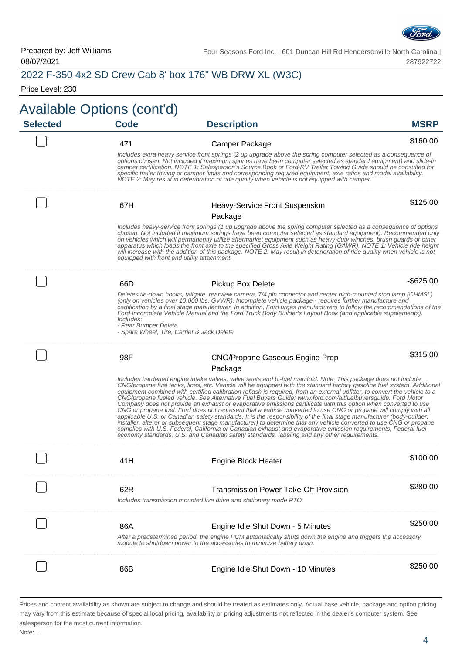

# 2022 F-350 4x2 SD Crew Cab 8' box 176" WB DRW XL (W3C)

Price Level: 230

|                 | <b>Available Options (cont'd)</b> |                                                                                                                                                                                                                                                                                                                                                                                                                                                                                                                                                                                                                                                                                                                                                                                                                                                                                                                                                                                                                                                                                                                                                                                            |              |
|-----------------|-----------------------------------|--------------------------------------------------------------------------------------------------------------------------------------------------------------------------------------------------------------------------------------------------------------------------------------------------------------------------------------------------------------------------------------------------------------------------------------------------------------------------------------------------------------------------------------------------------------------------------------------------------------------------------------------------------------------------------------------------------------------------------------------------------------------------------------------------------------------------------------------------------------------------------------------------------------------------------------------------------------------------------------------------------------------------------------------------------------------------------------------------------------------------------------------------------------------------------------------|--------------|
| <b>Selected</b> | <b>Code</b>                       | <b>Description</b>                                                                                                                                                                                                                                                                                                                                                                                                                                                                                                                                                                                                                                                                                                                                                                                                                                                                                                                                                                                                                                                                                                                                                                         | <b>MSRP</b>  |
|                 | 471                               | Camper Package                                                                                                                                                                                                                                                                                                                                                                                                                                                                                                                                                                                                                                                                                                                                                                                                                                                                                                                                                                                                                                                                                                                                                                             | \$160.00     |
|                 |                                   | Includes extra heavy service front springs (2 up upgrade above the spring computer selected as a consequence of<br>options chosen. Not included if maximum springs have been computer selected as standard equipment) and slide-in<br>camper certification. NOTE 1: Salesperson's Source Book or Ford RV Trailer Towing Guide should be consulted for<br>specific trailer towing or camper limits and corresponding required equipment, axle ratios and model availability.<br>NOTE 2: May result in deterioration of ride quality when vehicle is not equipped with camper.                                                                                                                                                                                                                                                                                                                                                                                                                                                                                                                                                                                                               |              |
|                 | 67H                               | <b>Heavy-Service Front Suspension</b>                                                                                                                                                                                                                                                                                                                                                                                                                                                                                                                                                                                                                                                                                                                                                                                                                                                                                                                                                                                                                                                                                                                                                      | \$125.00     |
|                 |                                   | Package                                                                                                                                                                                                                                                                                                                                                                                                                                                                                                                                                                                                                                                                                                                                                                                                                                                                                                                                                                                                                                                                                                                                                                                    |              |
|                 |                                   | Includes heavy-service front springs (1 up upgrade above the spring computer selected as a consequence of options<br>chosen. Not included if maximum springs have been computer selected as standard equipment). Recommended only<br>on vehicles which will permanently utilize aftermarket equipment such as heavy-duty winches, brush guards or other<br>apparatus which loads the front axle to the specified Gross Axle Weight Rating (GAWR). NOTE 1: Vehicle ride height<br>will increase with the addition of this package. NOTE 2: May result in deterioration of ride quality when vehicle is not<br>equipped with front end utility attachment.                                                                                                                                                                                                                                                                                                                                                                                                                                                                                                                                   |              |
|                 | 66D                               | <b>Pickup Box Delete</b>                                                                                                                                                                                                                                                                                                                                                                                                                                                                                                                                                                                                                                                                                                                                                                                                                                                                                                                                                                                                                                                                                                                                                                   | $-$ \$625.00 |
|                 | Includes:<br>- Rear Bumper Delete | Deletes tie-down hooks, tailgate, rearview camera, 7/4 pin connector and center high-mounted stop lamp (CHMSL)<br>(only on vehicles over 10,000 lbs. GVWR). Incomplete vehicle package - requires further manufacture and<br>certification by a final stage manufacturer. In addition, Ford urges manufacturers to follow the recommendations of the<br>Ford Incomplete Vehicle Manual and the Ford Truck Body Builder's Layout Book (and applicable supplements).<br>- Spare Wheel, Tire, Carrier & Jack Delete                                                                                                                                                                                                                                                                                                                                                                                                                                                                                                                                                                                                                                                                           |              |
|                 | 98F                               | <b>CNG/Propane Gaseous Engine Prep</b>                                                                                                                                                                                                                                                                                                                                                                                                                                                                                                                                                                                                                                                                                                                                                                                                                                                                                                                                                                                                                                                                                                                                                     | \$315.00     |
|                 |                                   | Package                                                                                                                                                                                                                                                                                                                                                                                                                                                                                                                                                                                                                                                                                                                                                                                                                                                                                                                                                                                                                                                                                                                                                                                    |              |
|                 |                                   | Includes hardened engine intake valves, valve seats and bi-fuel manifold. Note: This package does not include<br>CNG/propane fuel tanks, lines, etc. Vehicle will be equipped with the standard factory gasoline fuel system. Additional<br>equipment combined with certified calibration reflash is required, from an external upfitter, to convert the vehicle to a<br>CNG/propane fueled vehicle. See Alternative Fuel Buyers Guide: www.ford.com/altfuelbuyersguide. Ford Motor<br>Company does not provide an exhaust or evaporative emissions certificate with this option when converted to use<br>CNG or propane fuel. Ford does not represent that a vehicle converted to use CNG or propane will comply with all<br>applicable U.S. or Canadian safety standards. It is the responsibility of the final stage manufacturer (body-builder,<br>installer, alterer or subsequent stage manufacturer) to determine that any vehicle converted to use CNG or propane<br>complies with U.S. Federal, California or Canadian exhaust and evaporative emission requirements, Federal fuel<br>economy standards, U.S. and Canadian safety standards, labeling and any other requirements. |              |
|                 | 41H                               | <b>Engine Block Heater</b>                                                                                                                                                                                                                                                                                                                                                                                                                                                                                                                                                                                                                                                                                                                                                                                                                                                                                                                                                                                                                                                                                                                                                                 | \$100.00     |
|                 | 62R                               | <b>Transmission Power Take-Off Provision</b>                                                                                                                                                                                                                                                                                                                                                                                                                                                                                                                                                                                                                                                                                                                                                                                                                                                                                                                                                                                                                                                                                                                                               | \$280.00     |
|                 |                                   | Includes transmission mounted live drive and stationary mode PTO.                                                                                                                                                                                                                                                                                                                                                                                                                                                                                                                                                                                                                                                                                                                                                                                                                                                                                                                                                                                                                                                                                                                          |              |
|                 | 86A                               |                                                                                                                                                                                                                                                                                                                                                                                                                                                                                                                                                                                                                                                                                                                                                                                                                                                                                                                                                                                                                                                                                                                                                                                            | \$250.00     |
|                 |                                   | Engine Idle Shut Down - 5 Minutes<br>After a predetermined period, the engine PCM automatically shuts down the engine and triggers the accessory<br>module to shutdown power to the accessories to minimize battery drain.                                                                                                                                                                                                                                                                                                                                                                                                                                                                                                                                                                                                                                                                                                                                                                                                                                                                                                                                                                 |              |
|                 | 86B                               | Engine Idle Shut Down - 10 Minutes                                                                                                                                                                                                                                                                                                                                                                                                                                                                                                                                                                                                                                                                                                                                                                                                                                                                                                                                                                                                                                                                                                                                                         | \$250.00     |

Prices and content availability as shown are subject to change and should be treated as estimates only. Actual base vehicle, package and option pricing may vary from this estimate because of special local pricing, availability or pricing adjustments not reflected in the dealer's computer system. See salesperson for the most current information. Note: .

4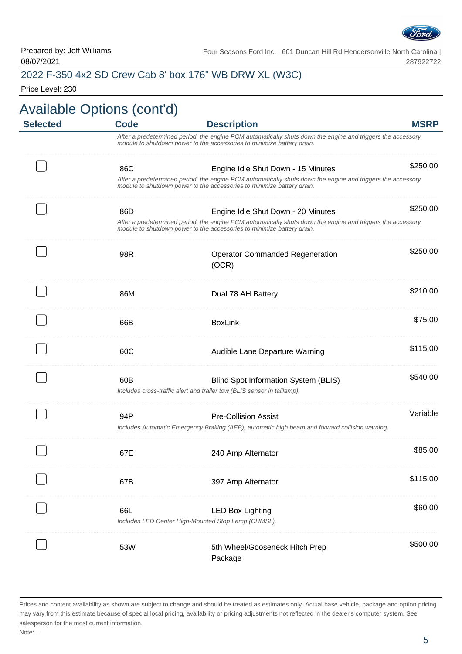

# 2022 F-350 4x2 SD Crew Cab 8' box 176" WB DRW XL (W3C)

Price Level: 230

| <b>MSRP</b> | <b>Description</b>                                                                                                                                                                    | <b>Code</b> | <b>Selected</b> |
|-------------|---------------------------------------------------------------------------------------------------------------------------------------------------------------------------------------|-------------|-----------------|
|             | After a predetermined period, the engine PCM automatically shuts down the engine and triggers the accessory<br>module to shutdown power to the accessories to minimize battery drain. |             |                 |
| \$250.00    | Engine Idle Shut Down - 15 Minutes                                                                                                                                                    | 86C         |                 |
|             | After a predetermined period, the engine PCM automatically shuts down the engine and triggers the accessory<br>module to shutdown power to the accessories to minimize battery drain. |             |                 |
| \$250.00    | Engine Idle Shut Down - 20 Minutes                                                                                                                                                    | 86D         |                 |
|             | After a predetermined period, the engine PCM automatically shuts down the engine and triggers the accessory<br>module to shutdown power to the accessories to minimize battery drain. |             |                 |
| \$250.00    | <b>Operator Commanded Regeneration</b>                                                                                                                                                | 98R         |                 |
|             | (OCR)                                                                                                                                                                                 |             |                 |
| \$210.00    | Dual 78 AH Battery                                                                                                                                                                    | 86M         |                 |
| \$75.00     | <b>BoxLink</b>                                                                                                                                                                        | 66B         |                 |
| \$115.00    | Audible Lane Departure Warning                                                                                                                                                        | 60C         |                 |
| \$540.00    | Blind Spot Information System (BLIS)                                                                                                                                                  | 60B         |                 |
|             | Includes cross-traffic alert and trailer tow (BLIS sensor in taillamp).                                                                                                               |             |                 |
| Variable    | <b>Pre-Collision Assist</b>                                                                                                                                                           | 94P         |                 |
|             | Includes Automatic Emergency Braking (AEB), automatic high beam and forward collision warning.                                                                                        |             |                 |
| \$85.00     | 240 Amp Alternator                                                                                                                                                                    | 67日         |                 |
| \$115.00    | 397 Amp Alternator                                                                                                                                                                    | 67B         |                 |
| \$60.00     | <b>LED Box Lighting</b>                                                                                                                                                               | 66L         |                 |
|             | Includes LED Center High-Mounted Stop Lamp (CHMSL).                                                                                                                                   |             |                 |
| \$500.00    | 5th Wheel/Gooseneck Hitch Prep                                                                                                                                                        | 53W         |                 |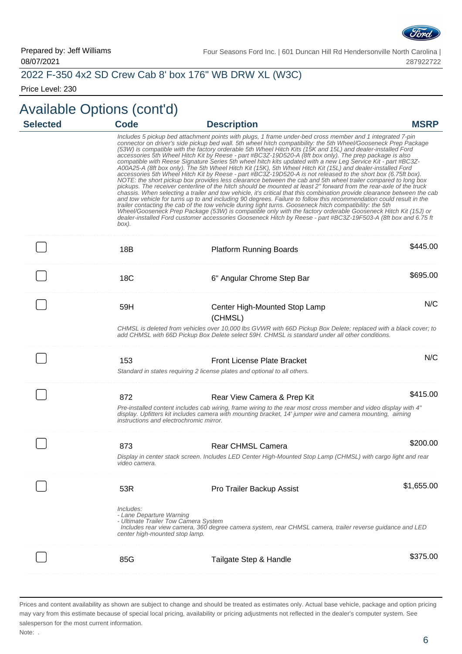

# 2022 F-350 4x2 SD Crew Cab 8' box 176" WB DRW XL (W3C)

Price Level: 230

# Available Options (cont'd)

| <b>Selected</b> | <b>Code</b>                                                                                                     | <b>Description</b>                                                                                                                                                                                                                                                                                                                                                                                                                                                                                                                                                                                                                                                                                                                                                                                                                                                                                                                                                                                                                                                                                                                                                                                                                                                                                                                                                                                                                                                                                                                                                                                                                               | <b>MSRP</b> |
|-----------------|-----------------------------------------------------------------------------------------------------------------|--------------------------------------------------------------------------------------------------------------------------------------------------------------------------------------------------------------------------------------------------------------------------------------------------------------------------------------------------------------------------------------------------------------------------------------------------------------------------------------------------------------------------------------------------------------------------------------------------------------------------------------------------------------------------------------------------------------------------------------------------------------------------------------------------------------------------------------------------------------------------------------------------------------------------------------------------------------------------------------------------------------------------------------------------------------------------------------------------------------------------------------------------------------------------------------------------------------------------------------------------------------------------------------------------------------------------------------------------------------------------------------------------------------------------------------------------------------------------------------------------------------------------------------------------------------------------------------------------------------------------------------------------|-------------|
|                 | box).                                                                                                           | Includes 5 pickup bed attachment points with plugs, 1 frame under-bed cross member and 1 integrated 7-pin<br>connector on driver's side pickup bed wall. 5th wheel hitch compatibility: the 5th Wheel/Gooseneck Prep Package<br>(53W) is compatible with the factory orderable 5th Wheel Hitch Kits (15K and 15L) and dealer-installed Ford<br>accessories 5th Wheel Hitch Kit by Reese - part #BC3Z-19D520-A (8ft box only). The prep package is also<br>compatible with Reese Signature Series 5th wheel hitch kits updated with a new Leg Service Kit - part #BC3Z-<br>A00A25-A (8ft box only). The 5th Wheel Hitch Kit (15K), 5th Wheel Hitch Kit (15L) and dealer-installed Ford<br>accessories 5th Wheel Hitch Kit by Reese - part #BC3Z-19D520-A is not released to the short box (6.75ft box).<br>NOTE: the short pickup box provides less clearance between the cab and 5th wheel trailer compared to long box<br>pickups. The receiver centerline of the hitch should be mounted at least 2" forward from the rear-axle of the truck<br>chassis. When selecting a trailer and tow vehicle, it's critical that this combination provide clearance between the cab<br>and tow vehicle for turns up to and including 90 degrees. Failure to follow this recommendation could result in the<br>trailer contacting the cab of the tow vehicle during tight turns. Gooseneck hitch compatibility: the 5th<br>Wheel/Gooseneck Prep Package (53W) is compatible only with the factory orderable Gooseneck Hitch Kit (15J) or<br>dealer-installed Ford customer accessories Gooseneck Hitch by Reese - part #BC3Z-19F503-A (8ft box and 6.75 ft |             |
|                 | 18B                                                                                                             | <b>Platform Running Boards</b>                                                                                                                                                                                                                                                                                                                                                                                                                                                                                                                                                                                                                                                                                                                                                                                                                                                                                                                                                                                                                                                                                                                                                                                                                                                                                                                                                                                                                                                                                                                                                                                                                   | \$445.00    |
|                 | <b>18C</b>                                                                                                      | 6" Angular Chrome Step Bar                                                                                                                                                                                                                                                                                                                                                                                                                                                                                                                                                                                                                                                                                                                                                                                                                                                                                                                                                                                                                                                                                                                                                                                                                                                                                                                                                                                                                                                                                                                                                                                                                       | \$695.00    |
|                 | 59H                                                                                                             | Center High-Mounted Stop Lamp<br>(CHMSL)                                                                                                                                                                                                                                                                                                                                                                                                                                                                                                                                                                                                                                                                                                                                                                                                                                                                                                                                                                                                                                                                                                                                                                                                                                                                                                                                                                                                                                                                                                                                                                                                         | N/C         |
|                 |                                                                                                                 | CHMSL is deleted from vehicles over 10,000 lbs GVWR with 66D Pickup Box Delete; replaced with a black cover; to<br>add CHMSL with 66D Pickup Box Delete select 59H, CHMSL is standard under all other conditions.                                                                                                                                                                                                                                                                                                                                                                                                                                                                                                                                                                                                                                                                                                                                                                                                                                                                                                                                                                                                                                                                                                                                                                                                                                                                                                                                                                                                                                |             |
|                 | 153                                                                                                             | <b>Front License Plate Bracket</b>                                                                                                                                                                                                                                                                                                                                                                                                                                                                                                                                                                                                                                                                                                                                                                                                                                                                                                                                                                                                                                                                                                                                                                                                                                                                                                                                                                                                                                                                                                                                                                                                               | N/C         |
|                 |                                                                                                                 | Standard in states requiring 2 license plates and optional to all others.                                                                                                                                                                                                                                                                                                                                                                                                                                                                                                                                                                                                                                                                                                                                                                                                                                                                                                                                                                                                                                                                                                                                                                                                                                                                                                                                                                                                                                                                                                                                                                        |             |
|                 | 872                                                                                                             | Rear View Camera & Prep Kit                                                                                                                                                                                                                                                                                                                                                                                                                                                                                                                                                                                                                                                                                                                                                                                                                                                                                                                                                                                                                                                                                                                                                                                                                                                                                                                                                                                                                                                                                                                                                                                                                      | \$415.00    |
|                 | instructions and electrochromic mirror.                                                                         | Pre-installed content includes cab wiring, frame wiring to the rear most cross member and video display with 4"<br>display. Upfitters kit includes camera with mounting bracket, 14' jumper wire and camera mounting, aiming                                                                                                                                                                                                                                                                                                                                                                                                                                                                                                                                                                                                                                                                                                                                                                                                                                                                                                                                                                                                                                                                                                                                                                                                                                                                                                                                                                                                                     |             |
|                 | 873                                                                                                             | <b>Rear CHMSL Camera</b>                                                                                                                                                                                                                                                                                                                                                                                                                                                                                                                                                                                                                                                                                                                                                                                                                                                                                                                                                                                                                                                                                                                                                                                                                                                                                                                                                                                                                                                                                                                                                                                                                         | \$200.00    |
|                 | video camera.                                                                                                   | Display in center stack screen. Includes LED Center High-Mounted Stop Lamp (CHMSL) with cargo light and rear                                                                                                                                                                                                                                                                                                                                                                                                                                                                                                                                                                                                                                                                                                                                                                                                                                                                                                                                                                                                                                                                                                                                                                                                                                                                                                                                                                                                                                                                                                                                     |             |
|                 | 53R                                                                                                             | Pro Trailer Backup Assist                                                                                                                                                                                                                                                                                                                                                                                                                                                                                                                                                                                                                                                                                                                                                                                                                                                                                                                                                                                                                                                                                                                                                                                                                                                                                                                                                                                                                                                                                                                                                                                                                        | \$1,655.00  |
|                 | Includes:<br>- Lane Departure Warning<br>- Ultimate Trailer Tow Camera System<br>center high-mounted stop lamp. | Includes rear view camera, 360 degree camera system, rear CHMSL camera, trailer reverse guidance and LED                                                                                                                                                                                                                                                                                                                                                                                                                                                                                                                                                                                                                                                                                                                                                                                                                                                                                                                                                                                                                                                                                                                                                                                                                                                                                                                                                                                                                                                                                                                                         |             |
|                 | 85G                                                                                                             | Tailgate Step & Handle                                                                                                                                                                                                                                                                                                                                                                                                                                                                                                                                                                                                                                                                                                                                                                                                                                                                                                                                                                                                                                                                                                                                                                                                                                                                                                                                                                                                                                                                                                                                                                                                                           | \$375.00    |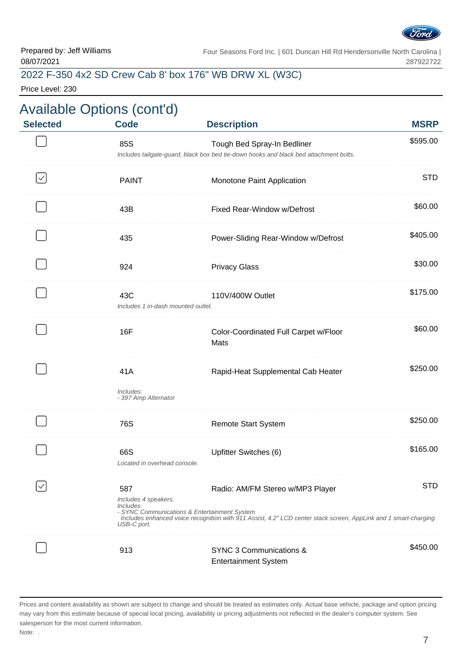

### 2022 F-350 4x2 SD Crew Cab 8' box 176" WB DRW XL (W3C)

Price Level: 230

### Available Options (cont'd) **Selected Code Description MSRP** 85S **Tough Bed Spray-In Bedliner** \$595.00 Includes tailgate-guard, black box bed tie-down hooks and black bed attachment bolts. PAINT Monotone Paint Application STD  $\checkmark$ 43B **Fixed Rear-Window w/Defrost** \$60.00 . . . . . . . . . . . . . 435 Power-Sliding Rear-Window w/Defrost \$405.00 924 **Privacy Glass Bullet Contract Contract Contract Contract Contract Contract Contract Contract Contract Contract Contract Contract Contract Contract Contract Contract Contract Contract Contract Contract Contract Contr** 43C 110V/400W Outlet \$175.00 Includes 1 in-dash mounted outlet. \$60.00 16F Color-Coordinated Full Carpet w/Floor Mats 41A Rapid-Heat Supplemental Cab Heater \$250.00 Includes: - 397 Amp Alternator 76S **Remote Start System 1996 Remote Start System** . . . . . . . . . . . . . . . . 66S 5165.00 Located in overhead console.  $\checkmark$ 587 Radio: AM/FM Stereo w/MP3 Player STD Includes 4 speakers. Includes: - SYNC Communications & Entertainment System Includes enhanced voice recognition with 911 Assist, 4.2" LCD center stack screen, AppLink and 1 smart-charging USB-C port. \$450.00 913 SYNC 3 Communications & Entertainment System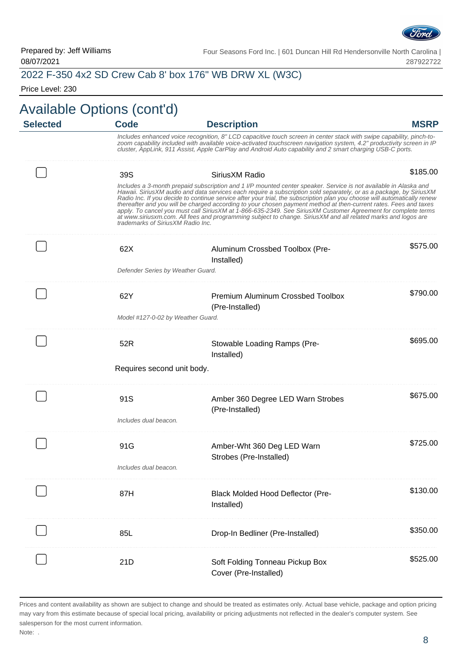

# 2022 F-350 4x2 SD Crew Cab 8' box 176" WB DRW XL (W3C)

Price Level: 230

# Available Options (cont'd)

| <b>Selected</b> | <b>Code</b>                       | <b>Description</b>                                                                                                                                                                                                                                                                                                                                                                                                                                                                                                                                                                                                                                                                                                       | <b>MSRP</b> |
|-----------------|-----------------------------------|--------------------------------------------------------------------------------------------------------------------------------------------------------------------------------------------------------------------------------------------------------------------------------------------------------------------------------------------------------------------------------------------------------------------------------------------------------------------------------------------------------------------------------------------------------------------------------------------------------------------------------------------------------------------------------------------------------------------------|-------------|
|                 |                                   | Includes enhanced voice recognition, 8" LCD capacitive touch screen in center stack with swipe capability, pinch-to-<br>zoom capability included with available voice-activated touchscreen navigation system, 4.2" productivity screen in IP<br>cluster, AppLink, 911 Assist, Apple CarPlay and Android Auto capability and 2 smart charging USB-C ports.                                                                                                                                                                                                                                                                                                                                                               |             |
|                 | 39S                               | Sirius XM Radio                                                                                                                                                                                                                                                                                                                                                                                                                                                                                                                                                                                                                                                                                                          | \$185.00    |
|                 | trademarks of SiriusXM Radio Inc. | Includes a 3-month prepaid subscription and 1 I/P mounted center speaker. Service is not available in Alaska and<br>Hawaii. SiriusXM audio and data services each require a subscription sold separately, or as a package, by SiriusXM<br>Radio Inc. If you decide to continue service after your trial, the subscription plan you choose will automatically renew<br>thereafter and you will be charged according to your chosen payment method at then-current rates. Fees and taxes<br>apply. To cancel you must call SiriusXM at 1-866-635-2349. See SiriusXM Customer Agreement for complete terms<br>at www.siriusxm.com. All fees and programming subject to change. SiriusXM and all related marks and logos are |             |
|                 | 62X                               | Aluminum Crossbed Toolbox (Pre-<br>Installed)                                                                                                                                                                                                                                                                                                                                                                                                                                                                                                                                                                                                                                                                            | \$575.00    |
|                 | Defender Series by Weather Guard. |                                                                                                                                                                                                                                                                                                                                                                                                                                                                                                                                                                                                                                                                                                                          |             |
|                 | 62Y                               | Premium Aluminum Crossbed Toolbox<br>(Pre-Installed)                                                                                                                                                                                                                                                                                                                                                                                                                                                                                                                                                                                                                                                                     | \$790.00    |
|                 | Model #127-0-02 by Weather Guard. |                                                                                                                                                                                                                                                                                                                                                                                                                                                                                                                                                                                                                                                                                                                          |             |
|                 | 52R                               | Stowable Loading Ramps (Pre-<br>Installed)                                                                                                                                                                                                                                                                                                                                                                                                                                                                                                                                                                                                                                                                               | \$695.00    |
|                 | Requires second unit body.        |                                                                                                                                                                                                                                                                                                                                                                                                                                                                                                                                                                                                                                                                                                                          |             |
|                 | 91S                               | Amber 360 Degree LED Warn Strobes<br>(Pre-Installed)                                                                                                                                                                                                                                                                                                                                                                                                                                                                                                                                                                                                                                                                     | \$675.00    |
|                 | Includes dual beacon.             |                                                                                                                                                                                                                                                                                                                                                                                                                                                                                                                                                                                                                                                                                                                          |             |
|                 | 91G                               | Amber-Wht 360 Deg LED Warn<br>Strobes (Pre-Installed)                                                                                                                                                                                                                                                                                                                                                                                                                                                                                                                                                                                                                                                                    | \$725.00    |
|                 | Includes dual beacon              |                                                                                                                                                                                                                                                                                                                                                                                                                                                                                                                                                                                                                                                                                                                          |             |
|                 | 87H                               | <b>Black Molded Hood Deflector (Pre-</b><br>Installed)                                                                                                                                                                                                                                                                                                                                                                                                                                                                                                                                                                                                                                                                   | \$130.00    |
|                 | 85L                               | Drop-In Bedliner (Pre-Installed)                                                                                                                                                                                                                                                                                                                                                                                                                                                                                                                                                                                                                                                                                         | \$350.00    |
|                 | 21D                               | Soft Folding Tonneau Pickup Box<br>Cover (Pre-Installed)                                                                                                                                                                                                                                                                                                                                                                                                                                                                                                                                                                                                                                                                 | \$525.00    |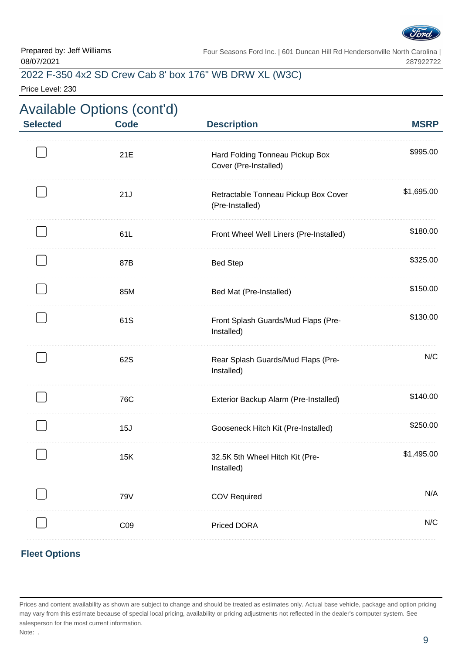

# 2022 F-350 4x2 SD Crew Cab 8' box 176" WB DRW XL (W3C)

Price Level: 230

| <b>Selected</b> | <b>Available Options (cont'd)</b><br><b>Code</b> | <b>Description</b>                                       | <b>MSRP</b> |
|-----------------|--------------------------------------------------|----------------------------------------------------------|-------------|
|                 | 21E                                              | Hard Folding Tonneau Pickup Box<br>Cover (Pre-Installed) | \$995.00    |
|                 | 21J                                              | Retractable Tonneau Pickup Box Cover<br>(Pre-Installed)  | \$1,695.00  |
|                 | 61L                                              | Front Wheel Well Liners (Pre-Installed)                  | \$180.00    |
|                 | 87B                                              | <b>Bed Step</b>                                          | \$325.00    |
|                 | 85M                                              | Bed Mat (Pre-Installed)                                  | \$150.00    |
|                 | 61S                                              | Front Splash Guards/Mud Flaps (Pre-<br>Installed)        | \$130.00    |
|                 | 62S                                              | Rear Splash Guards/Mud Flaps (Pre-<br>Installed)         | N/C         |
|                 | 76C                                              | Exterior Backup Alarm (Pre-Installed)                    | \$140.00    |
|                 | 15J                                              | Gooseneck Hitch Kit (Pre-Installed)                      | \$250.00    |
|                 | 15K                                              | 32.5K 5th Wheel Hitch Kit (Pre-<br>Installed)            | \$1,495.00  |
|                 | 79V                                              | <b>COV Required</b>                                      | N/A         |
|                 | C <sub>09</sub>                                  | <b>Priced DORA</b>                                       | N/C         |

#### **Fleet Options**

Prices and content availability as shown are subject to change and should be treated as estimates only. Actual base vehicle, package and option pricing may vary from this estimate because of special local pricing, availability or pricing adjustments not reflected in the dealer's computer system. See salesperson for the most current information. Note: .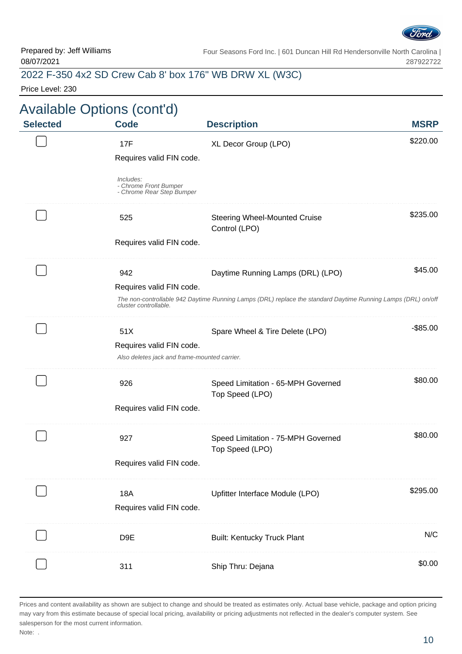

# 2022 F-350 4x2 SD Crew Cab 8' box 176" WB DRW XL (W3C)

Price Level: 230

|                 | <b>Available Options (cont'd)</b>                                        |                                                                                                              |             |
|-----------------|--------------------------------------------------------------------------|--------------------------------------------------------------------------------------------------------------|-------------|
| <b>Selected</b> | <b>Code</b>                                                              | <b>Description</b>                                                                                           | <b>MSRP</b> |
|                 | 17F<br>Requires valid FIN code.                                          | XL Decor Group (LPO)                                                                                         | \$220.00    |
|                 | Includes:<br>- Chrome Front Bumper<br>- Chrome Rear Step Bumper          |                                                                                                              |             |
|                 | 525                                                                      | <b>Steering Wheel-Mounted Cruise</b><br>Control (LPO)                                                        | \$235.00    |
|                 | Requires valid FIN code.                                                 |                                                                                                              |             |
|                 | 942                                                                      | Daytime Running Lamps (DRL) (LPO)                                                                            | \$45.00     |
|                 | Requires valid FIN code.<br>cluster controllable.                        | The non-controllable 942 Daytime Running Lamps (DRL) replace the standard Daytime Running Lamps (DRL) on/off |             |
|                 | 51X                                                                      | Spare Wheel & Tire Delete (LPO)                                                                              | $-$ \$85.00 |
|                 | Requires valid FIN code.<br>Also deletes jack and frame-mounted carrier. |                                                                                                              |             |
|                 | 926                                                                      | Speed Limitation - 65-MPH Governed<br>Top Speed (LPO)                                                        | \$80.00     |
|                 | Requires valid FIN code.                                                 |                                                                                                              |             |
|                 | 927                                                                      | Speed Limitation - 75-MPH Governed                                                                           | \$80.00     |
|                 | Requires valid FIN code.                                                 | Top Speed (LPO)                                                                                              |             |
|                 | <b>18A</b>                                                               | Upfitter Interface Module (LPO)                                                                              | \$295.00    |
|                 | Requires valid FIN code.                                                 |                                                                                                              |             |
|                 | D <sub>9E</sub>                                                          | <b>Built: Kentucky Truck Plant</b>                                                                           | N/C         |
|                 | 311                                                                      | Ship Thru: Dejana                                                                                            | \$0.00      |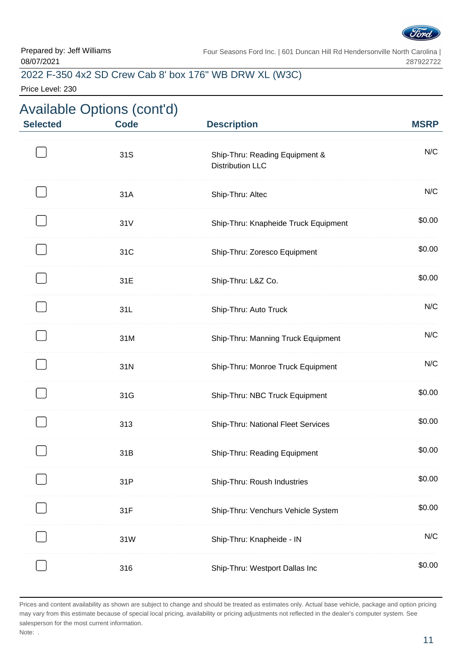

# 2022 F-350 4x2 SD Crew Cab 8' box 176" WB DRW XL (W3C)

Price Level: 230

|                 | <b>Available Options (cont'd)</b> |                                                           |             |
|-----------------|-----------------------------------|-----------------------------------------------------------|-------------|
| <b>Selected</b> | <b>Code</b>                       | <b>Description</b>                                        | <b>MSRP</b> |
|                 | 31S                               | Ship-Thru: Reading Equipment &<br><b>Distribution LLC</b> | N/C         |
|                 | 31A                               | Ship-Thru: Altec                                          | N/C         |
|                 | 31V                               | Ship-Thru: Knapheide Truck Equipment                      | \$0.00      |
|                 | 31C                               | Ship-Thru: Zoresco Equipment                              | \$0.00      |
|                 | 31E                               | Ship-Thru: L&Z Co.                                        | \$0.00      |
|                 | 31L                               | Ship-Thru: Auto Truck                                     | N/C         |
|                 | 31M                               | Ship-Thru: Manning Truck Equipment                        | N/C         |
|                 | 31N                               | Ship-Thru: Monroe Truck Equipment                         | N/C         |
|                 | 31G                               | Ship-Thru: NBC Truck Equipment                            | \$0.00      |
|                 | 313                               | Ship-Thru: National Fleet Services                        | \$0.00      |
|                 | 31B                               | Ship-Thru: Reading Equipment                              | \$0.00      |
|                 | 31P                               | Ship-Thru: Roush Industries                               | \$0.00      |
|                 | 31F                               | Ship-Thru: Venchurs Vehicle System                        | \$0.00      |
|                 | 31W                               | Ship-Thru: Knapheide - IN                                 | N/C         |
|                 | 316                               | Ship-Thru: Westport Dallas Inc                            | \$0.00      |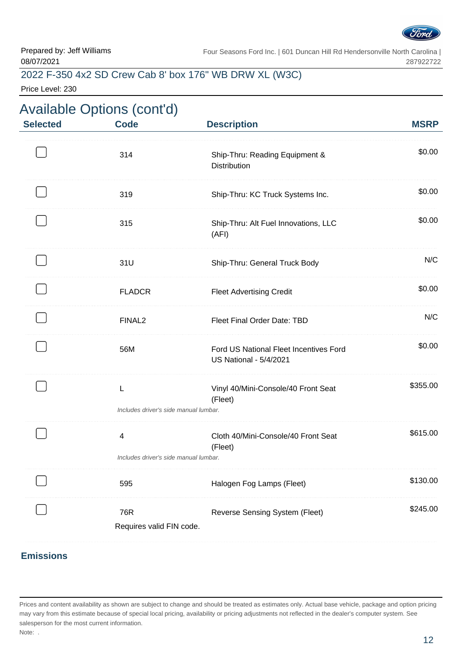

# 2022 F-350 4x2 SD Crew Cab 8' box 176" WB DRW XL (W3C)

Price Level: 230

| <b>MSRP</b> | <b>Description</b>                                                      | <b>Available Options (cont'd)</b><br><b>Code</b> | <b>Selected</b> |
|-------------|-------------------------------------------------------------------------|--------------------------------------------------|-----------------|
| \$0.00      | Ship-Thru: Reading Equipment &<br><b>Distribution</b>                   | 314                                              |                 |
| \$0.00      | Ship-Thru: KC Truck Systems Inc.                                        | 319                                              |                 |
| \$0.00      | Ship-Thru: Alt Fuel Innovations, LLC<br>(AFI)                           | 315                                              |                 |
| N/C         | Ship-Thru: General Truck Body                                           | 31U                                              |                 |
| \$0.00      | <b>Fleet Advertising Credit</b>                                         | <b>FLADCR</b>                                    |                 |
| N/C         | Fleet Final Order Date: TBD                                             | FINAL <sub>2</sub>                               |                 |
| \$0.00      | Ford US National Fleet Incentives Ford<br><b>US National - 5/4/2021</b> | 56M                                              |                 |
| \$355.00    | Vinyl 40/Mini-Console/40 Front Seat<br>(Fleet)                          | L<br>Includes driver's side manual lumbar.       |                 |
| \$615.00    | Cloth 40/Mini-Console/40 Front Seat<br>(Fleet)                          | 4<br>Includes driver's side manual lumbar.       |                 |
| \$130.00    | Halogen Fog Lamps (Fleet)                                               | 595                                              |                 |
| \$245.00    | <b>Reverse Sensing System (Fleet)</b>                                   | 76R<br>Requires valid FIN code.                  |                 |

#### **Emissions**

Prices and content availability as shown are subject to change and should be treated as estimates only. Actual base vehicle, package and option pricing may vary from this estimate because of special local pricing, availability or pricing adjustments not reflected in the dealer's computer system. See salesperson for the most current information. Note: .